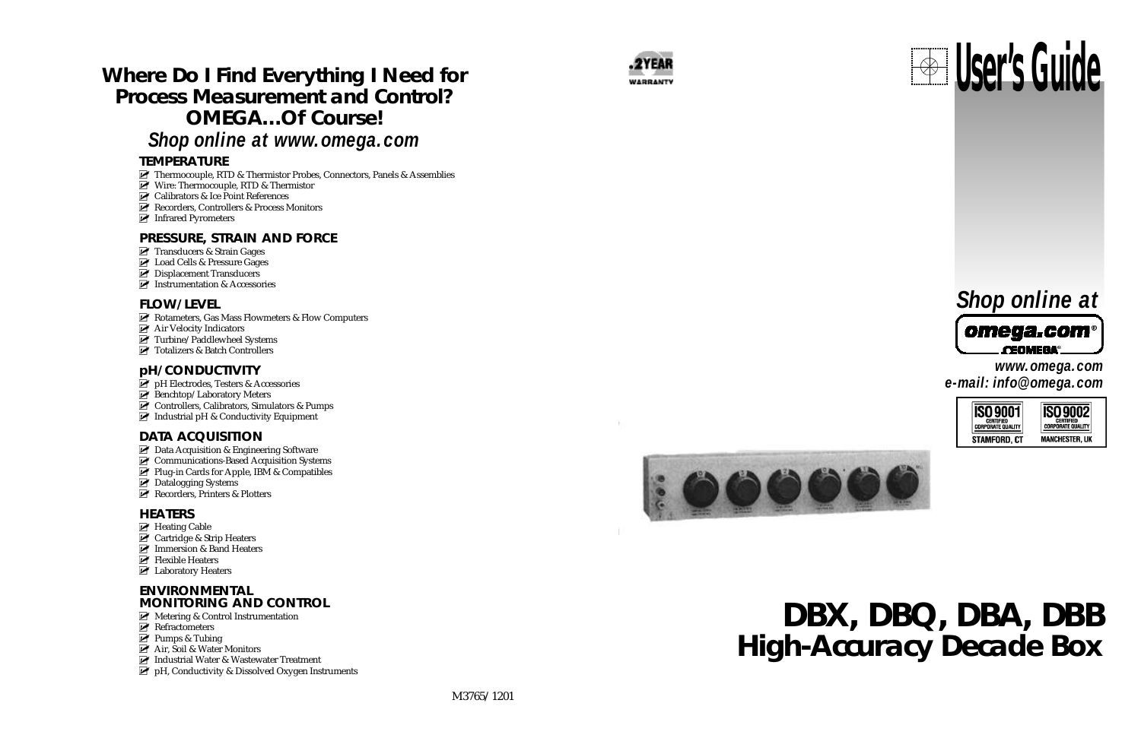



# **Where Do I Find Everything I Need for Process Measurement and Control? OMEGA…Of Course!**

- Thermocouple, RTD & Thermistor Probes, Connectors, Panels & Assemblies
- Wire: Thermocouple, RTD & Thermistor
- **EX** Calibrators & Ice Point References
- Recorders, Controllers & Process Monitors
- **Infrared Pyrometers**

### *Shop online at www.omega.com*

### **TEMPERATURE**

- Rotameters, Gas Mass Flowmeters & Flow Computers
- **Air Velocity Indicators**
- Turbine/Paddlewheel Systems
- **T** Totalizers & Batch Controllers

### **pH/CONDUCTIVITY**

- **P** pH Electrodes, Testers & Accessories
- Benchtop/Laboratory Meters
- Controllers, Calibrators, Simulators & Pumps
- $\blacksquare$  Industrial pH & Conductivity Equipment

### **DATA ACQUISITION**

- **Z** Data Acquisition & Engineering Software
- Communications-Based Acquisition Systems
- $\triangleright$  Plug-in Cards for Apple, IBM & Compatibles
- **Datalogging Systems**
- Recorders, Printers & Plotters

### **HEATERS**

- $\triangleright$  Heating Cable
- **Z** Cartridge & Strip Heaters
- **Immersion & Band Heaters**
- $\blacktriangleright$  Flexible Heaters
- **Z** Laboratory Heaters

### **PRESSURE, STRAIN AND FORCE**

- **Transducers & Strain Gages**
- **Load Cells & Pressure Gages**
- **Z** Displacement Transducers
- **Instrumentation & Accessories**

### **FLOW/LEVEL**

### **ENVIRONMENTAL MONITORING AND CONTROL**

- $\mathbb Z$  Metering & Control Instrumentation
- $\mathbb Z$  Refractometers
- **Pumps & Tubing**
- Air, Soil & Water Monitors
- Industrial Water & Wastewater Treatment
- $\mathbb F$  pH, Conductivity & Dissolved Oxygen Instruments



*www.omega.com e-mail: info@omega.com*







# **DBX, DBQ, DBA, DBB High-Accuracy Decade Box**

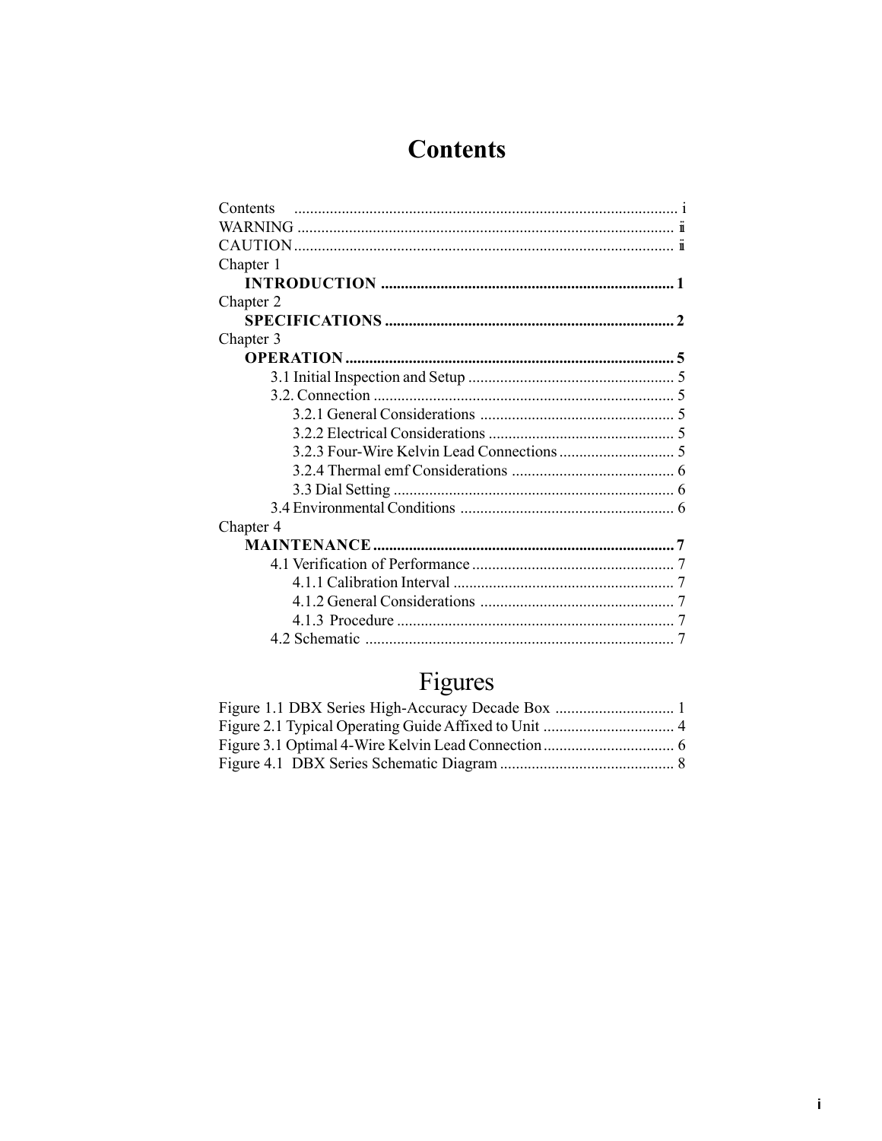### **Contents**

| Contents  |
|-----------|
|           |
|           |
| Chapter 1 |
|           |
| Chapter 2 |
|           |
| Chapter 3 |
|           |
|           |
|           |
|           |
|           |
|           |
|           |
|           |
|           |
| Chapter 4 |
|           |
|           |
|           |
|           |
|           |
|           |

## Figures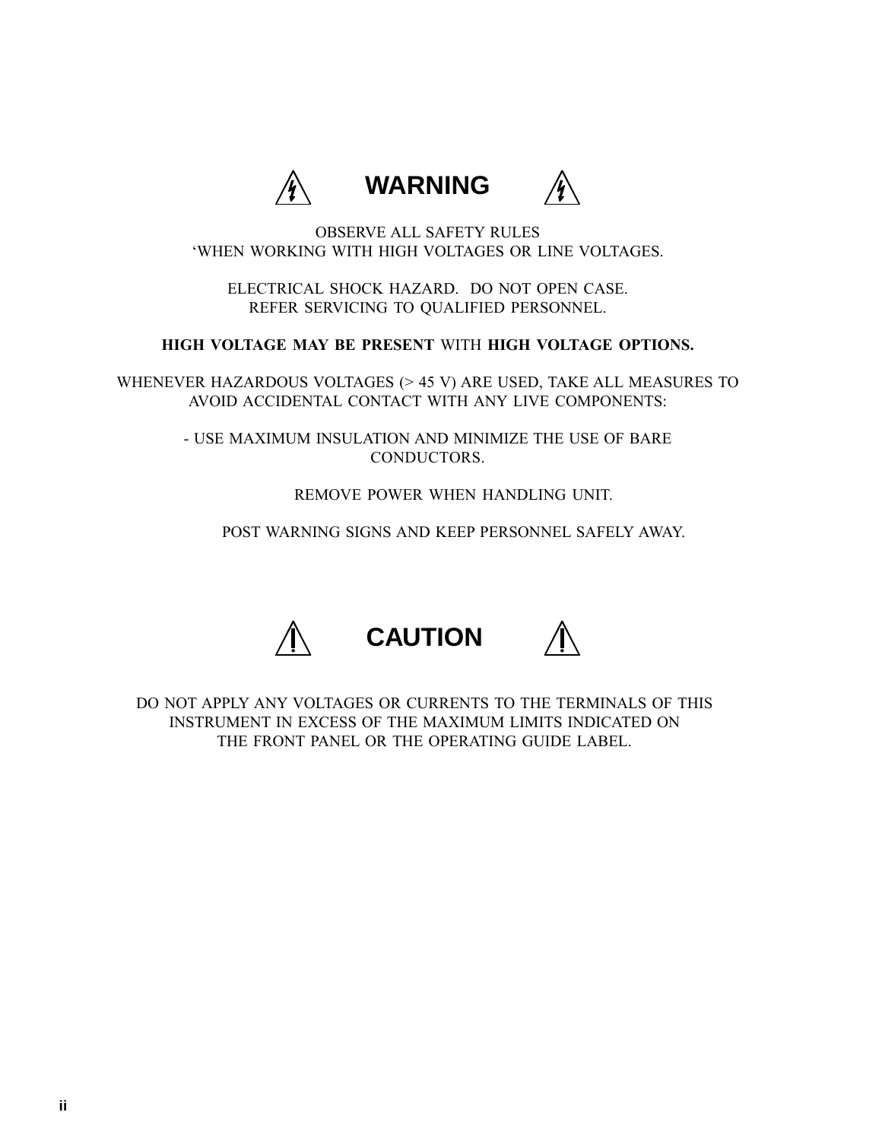

<span id="page-2-0"></span>OBSERVE ALL SAFETY RULES 'WHEN WORKING WITH HIGH VOLTAGES OR LINE VOLTAGES.

ELECTRICAL SHOCK HAZARD. DO NOT OPEN CASE. REFER SERVICING TO QUALIFIED PERSONNEL.

### **HIGH VOLTAGE MAY BE PRESENT** WITH **HIGH VOLTAGE OPTIONS.**

WHENEVER HAZARDOUS VOLTAGES (> 45 V) ARE USED, TAKE ALL MEASURES TO AVOID ACCIDENTAL CONTACT WITH ANY LIVE COMPONENTS:

> - USE MAXIMUM INSULATION AND MINIMIZE THE USE OF BARE CONDUCTORS.

> > REMOVE POWER WHEN HANDLING UNIT.

POST WARNING SIGNS AND KEEP PERSONNEL SAFELY AWAY.



DO NOT APPLY ANY VOLTAGES OR CURRENTS TO THE TERMINALS OF THIS INSTRUMENT IN EXCESS OF THE MAXIMUM LIMITS INDICATED ON THE FRONT PANEL OR THE OPERATING GUIDE LABEL.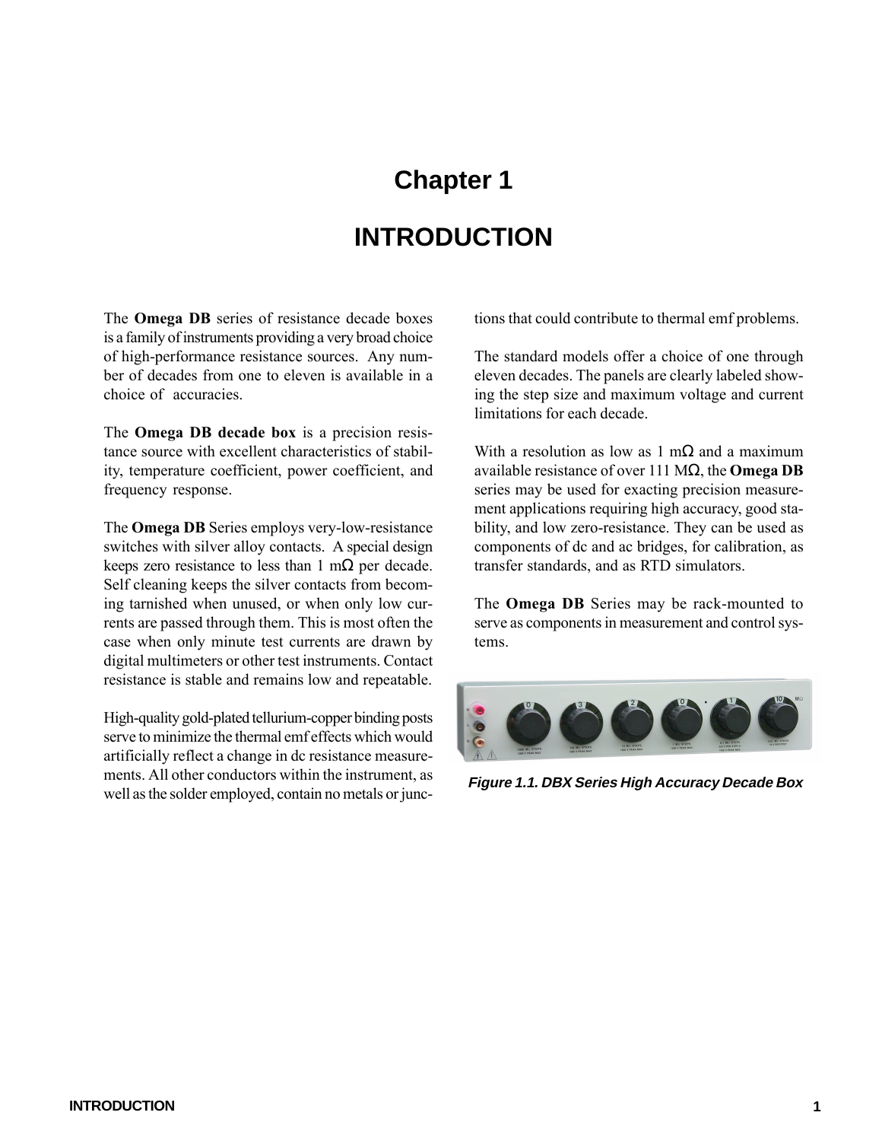# **Chapter 1 INTRODUCTION**

<span id="page-3-0"></span>The **Omega DB** series of resistance decade boxes is a family of instruments providing a very broad choice of high-performance resistance sources. Any number of decades from one to eleven is available in a choice of accuracies.

The **Omega DB decade box** is a precision resistance source with excellent characteristics of stability, temperature coefficient, power coefficient, and frequency response.

The **Omega DB** Series employs very-low-resistance switches with silver alloy contacts. A special design keeps zero resistance to less than  $1 \text{ m}\Omega$  per decade. Self cleaning keeps the silver contacts from becoming tarnished when unused, or when only low currents are passed through them. This is most often the case when only minute test currents are drawn by digital multimeters or other test instruments. Contact resistance is stable and remains low and repeatable.

High-quality gold-plated tellurium-copper binding posts serve to minimize the thermal emf effects which would artificially reflect a change in dc resistance measurements. All other conductors within the instrument, as well as the solder employed, contain no metals or junctions that could contribute to thermal emf problems.

The standard models offer a choice of one through eleven decades. The panels are clearly labeled showing the step size and maximum voltage and current limitations for each decade.

With a resolution as low as 1 m $\Omega$  and a maximum available resistance of over 111 MΩ, the **Omega DB** series may be used for exacting precision measurement applications requiring high accuracy, good stability, and low zero-resistance. They can be used as components of dc and ac bridges, for calibration, as transfer standards, and as RTD simulators.

The **Omega DB** Series may be rack-mounted to serve as components in measurement and control systems.



**Figure 1.1. DBX Series High Accuracy Decade Box**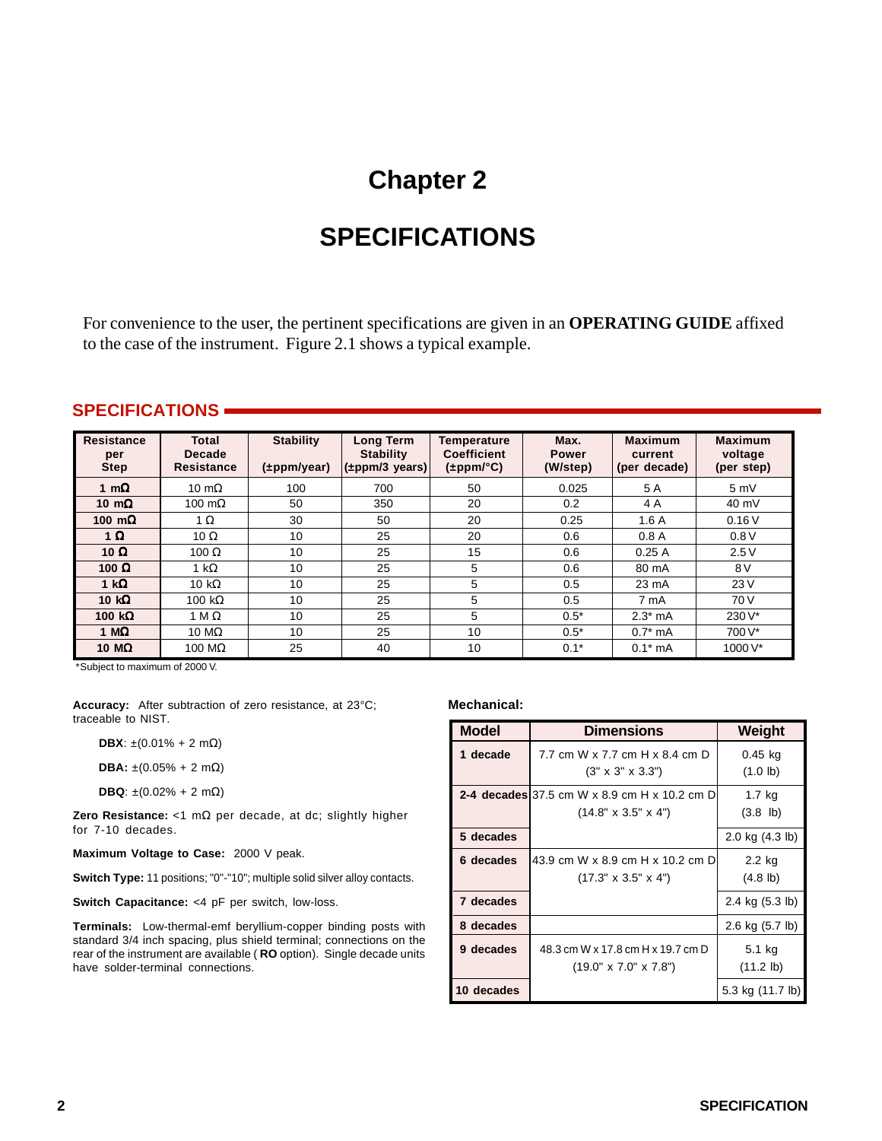### **Chapter 2**

### **SPECIFICATIONS**

For convenience to the user, the pertinent specifications are given in an **OPERATING GUIDE** affixed to the case of the instrument. Figure 2.1 shows a typical example.

#### **SPECIFICATIONS**

| Resistance<br>per<br><b>Step</b> | <b>Total</b><br><b>Decade</b><br>Resistance | <b>Stability</b><br>$(\pm$ ppm/year) | <b>Long Term</b><br><b>Stability</b><br>$(\pm$ ppm/3 years) | Temperature<br><b>Coefficient</b><br>$(\pm$ ppm/°C) | Max.<br><b>Power</b><br>(W/step) | <b>Maximum</b><br>current<br>(per decade) | <b>Maximum</b><br>voltage<br>(per step) |
|----------------------------------|---------------------------------------------|--------------------------------------|-------------------------------------------------------------|-----------------------------------------------------|----------------------------------|-------------------------------------------|-----------------------------------------|
| 1 m $\Omega$                     | 10 m $\Omega$                               | 100                                  | 700                                                         | 50                                                  | 0.025                            | 5 A                                       | 5mV                                     |
| 10 $m\Omega$                     | 100 m $\Omega$                              | 50                                   | 350                                                         | 20                                                  | 0.2                              | 4 A                                       | 40 mV                                   |
| 100 $m\Omega$                    | 1 $\Omega$                                  | 30                                   | 50                                                          | 20                                                  | 0.25                             | 1.6A                                      | 0.16V                                   |
| 1 $\Omega$                       | 10 $\Omega$                                 | 10                                   | 25                                                          | 20                                                  | 0.6                              | 0.8A                                      | 0.8V                                    |
| 10 Ω                             | 100 $\Omega$                                | 10                                   | 25                                                          | 15                                                  | 0.6                              | 0.25A                                     | 2.5V                                    |
| 100 $\Omega$                     | 1 k $\Omega$                                | 10                                   | 25                                                          | 5                                                   | 0.6                              | 80 mA                                     | 8 V                                     |
| 1 k $\Omega$                     | 10 k $\Omega$                               | 10                                   | 25                                                          | 5                                                   | 0.5                              | $23 \text{ mA}$                           | 23V                                     |
| 10 $k\Omega$                     | 100 k $\Omega$                              | 10                                   | 25                                                          | 5                                                   | 0.5                              | 7 mA                                      | 70 V                                    |
| 100 k $\Omega$                   | 1 M $\Omega$                                | 10                                   | 25                                                          | 5                                                   | $0.5*$                           | $2.3*$ mA                                 | $230V^*$                                |
| 1 M $\Omega$                     | 10 $M\Omega$                                | 10                                   | 25                                                          | 10                                                  | $0.5*$                           | $0.7*$ mA                                 | 700 V*                                  |
| 10 $M\Omega$                     | 100 M $\Omega$                              | 25                                   | 40                                                          | 10                                                  | $0.1*$                           | $0.1*$ mA                                 | 1000 V*                                 |

\*Subject to maximum of 2000 V.

**Accuracy:** After subtraction of zero resistance, at 23°C; traceable to NIST.

**DBX**:  $\pm (0.01\% + 2 \text{ m}\Omega)$ 

**DBA:** ±(0.05% + 2 mΩ)

**DBQ**: ±(0.02% + 2 mΩ)

**Zero Resistance:** <1 mΩ per decade, at dc; slightly higher for 7-10 decades.

**Maximum Voltage to Case:** 2000 V peak.

**Switch Type:** 11 positions; "0"-"10"; multiple solid silver alloy contacts.

**Switch Capacitance:** <4 pF per switch, low-loss.

**Terminals:** Low-thermal-emf beryllium-copper binding posts with standard 3/4 inch spacing, plus shield terminal; connections on the rear of the instrument are available ( **RO** option). Single decade units have solder-terminal connections.

#### **Mechanical:**

| Model      | <b>Dimensions</b>                                                                                    | Weight                        |
|------------|------------------------------------------------------------------------------------------------------|-------------------------------|
| 1 decade   | 7.7 cm W x 7.7 cm H x 8.4 cm D<br>$(3" \times 3" \times 3.3")$                                       | 0.45 kg<br>$(1.0 \text{ lb})$ |
|            | <b>2-4 decades</b> 37.5 cm W $\times$ 8.9 cm H $\times$ 10.2 cm D<br>$(14.8" \times 3.5" \times 4")$ | $1.7$ kg<br>$(3.8 \; lb)$     |
| 5 decades  |                                                                                                      | 2.0 kg $(4.3 \text{ lb})$     |
| 6 decades  | 43.9 cm W x 8.9 cm H x 10.2 cm D<br>$(17.3" \times 3.5" \times 4")$                                  | 2.2 kg<br>$(4.8 \text{ lb})$  |
| 7 decades  |                                                                                                      | 2.4 kg (5.3 lb)               |
| 8 decades  |                                                                                                      | 2.6 kg (5.7 lb)               |
| 9 decades  | 48.3 cm W x 17.8 cm H x 19.7 cm D<br>$(19.0" \times 7.0" \times 7.8")$                               | 5.1 kg<br>$(11.2 \text{ lb})$ |
| 10 decades |                                                                                                      | 5.3 kg (11.7 lb)              |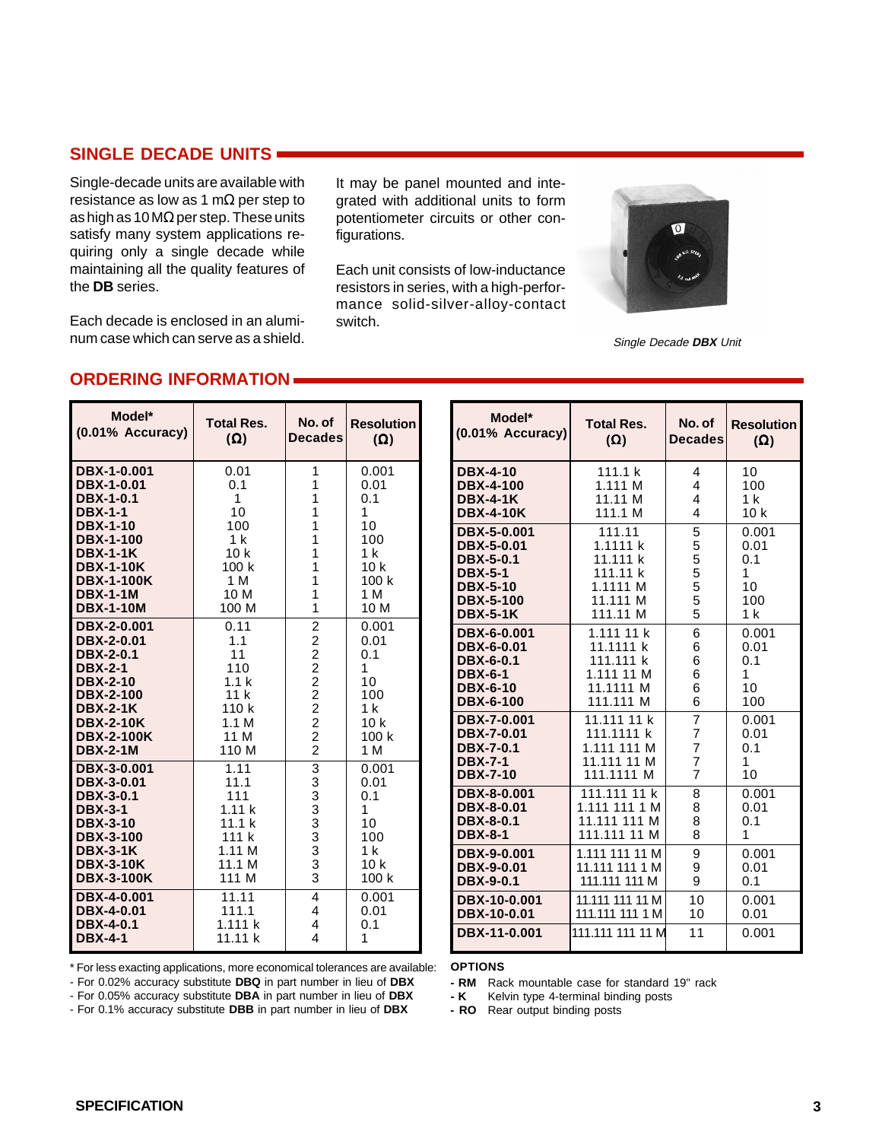#### **SINGLE DECADE UNITS**

Single-decade units are available with resistance as low as 1 m $\Omega$  per step to as high as 10 MΩ per step. These units satisfy many system applications requiring only a single decade while maintaining all the quality features of the **DB** series.

Each decade is enclosed in an aluminum case which can serve as a shield.

It may be panel mounted and integrated with additional units to form potentiometer circuits or other configurations.

Each unit consists of low-inductance resistors in series, with a high-performance solid-silver-alloy-contact switch.



Single Decade **DBX** Unit

#### **ORDERING INFORMATION**

| Model*            | <b>Total Res.</b> | No. of                  | <b>Resolution</b> |
|-------------------|-------------------|-------------------------|-------------------|
| (0.01% Accuracy)  | $(\Omega)$        | <b>Decades</b>          | $(\Omega)$        |
| DBX-1-0.001       | 0.01              | 1                       | 0.001             |
| DBX-1-0.01        | 0.1               | 1                       | 0.01              |
| <b>DBX-1-0.1</b>  | $\mathbf{1}$      | 1                       | 0.1               |
| <b>DBX-1-1</b>    | 10                | 1                       | 1                 |
| <b>DBX-1-10</b>   | 100               | 1                       | 10                |
| <b>DBX-1-100</b>  | 1 k               | 1                       | 100               |
| <b>DBX-1-1K</b>   | 10 <sub>k</sub>   | 1                       | 1 k               |
| <b>DBX-1-10K</b>  | 100k              | 1                       | 10 <sub>k</sub>   |
| <b>DBX-1-100K</b> | 1 M               | 1                       | 100 k             |
| <b>DBX-1-1M</b>   | 10 M              | 1                       | 1 M               |
| <b>DBX-1-10M</b>  | 100 M             | 1                       | 10 M              |
| DBX-2-0.001       | 0.11              | 22222222                | 0.001             |
| <b>DBX-2-0.01</b> | 1.1               |                         | 0.01              |
| <b>DBX-2-0.1</b>  | 11                |                         | 0.1               |
| <b>DBX-2-1</b>    | 110               |                         | 1                 |
| <b>DBX-2-10</b>   | 1.1 <sub>k</sub>  |                         | 10                |
| <b>DBX-2-100</b>  | 11k               |                         | 100               |
| <b>DBX-2-1K</b>   | 110 k             |                         | 1 <sub>k</sub>    |
| <b>DBX-2-10K</b>  | 1.1 M             |                         | 10 <sub>k</sub>   |
| <b>DBX-2-100K</b> | 11 M              |                         | 100k              |
| <b>DBX-2-1M</b>   | 110 M             |                         | 1 M               |
| DBX-3-0.001       | 1.11              | 3333333333              | 0.001             |
| DBX-3-0.01        | 11.1              |                         | 0.01              |
| DBX-3-0.1         | 111               |                         | 0.1               |
| <b>DBX-3-1</b>    | 1.11k             |                         | 1                 |
| <b>DBX-3-10</b>   | 11.1 k            |                         | 10                |
| <b>DBX-3-100</b>  | 111 k             |                         | 100               |
| <b>DBX-3-1K</b>   | 1.11M             |                         | 1 <sub>k</sub>    |
| <b>DBX-3-10K</b>  | 11.1 M            |                         | 10 <sub>k</sub>   |
| <b>DBX-3-100K</b> | 111 M             |                         | 100 k             |
| DBX-4-0.001       | 11.11             | 4                       | 0.001             |
| <b>DBX-4-0.01</b> | 111.1             | 4                       | 0.01              |
| <b>DBX-4-0.1</b>  | 1.111k            | 4                       | 0.1               |
| <b>DBX-4-1</b>    | 11.11 k           | $\overline{\mathbf{4}}$ | 1                 |

| Model*              | <b>Total Res.</b> | No. of         | <b>Resolution</b> |
|---------------------|-------------------|----------------|-------------------|
| $(0.01\%$ Accuracy) | $(\Omega)$        | <b>Decades</b> | $(\Omega)$        |
| <b>DBX-4-10</b>     | 111.1 k           | 4              | 10                |
| <b>DBX-4-100</b>    | 1.111 M           | 4              | 100               |
| <b>DBX-4-1K</b>     | 11.11 M           | 4              | 1 <sub>k</sub>    |
| <b>DBX-4-10K</b>    | 111.1 M           | 4              | 10 <sub>k</sub>   |
| DBX-5-0.001         | 111.11            | 5              | 0.001             |
| DBX-5-0.01          | 1.1111 k          | 5              | 0.01              |
| <b>DBX-5-0.1</b>    | 11.111 k          | 5              | 0.1               |
| <b>DBX-5-1</b>      | 111.11 k          | 5              | 1                 |
| <b>DBX-5-10</b>     | 1.1111 M          | 5              | 10                |
| <b>DBX-5-100</b>    | 11.111 M          | 5              | 100               |
| <b>DBX-5-1K</b>     | 111.11 M          | 5              | 1 <sub>k</sub>    |
| DBX-6-0.001         | 1.111 11 k        | 6              | 0.001             |
| DBX-6-0.01          | 11.1111 k         | 6              | 0.01              |
| DBX-6-0.1           | 111.111 k         | 6              | 0.1               |
| <b>DBX-6-1</b>      | 1.111 11 M        | 6              | 1                 |
| <b>DBX-6-10</b>     | 11.1111 M         | 6              | 10                |
| <b>DBX-6-100</b>    | 111.111 M         | 6              | 100               |
| DBX-7-0.001         | 11.111 11 k       | $\overline{7}$ | 0.001             |
| DBX-7-0.01          | 111.1111 k        | 7              | 0.01              |
| <b>DBX-7-0.1</b>    | 1.111 111 M       | 7              | 0.1               |
| <b>DBX-7-1</b>      | 11.111 11 M       | 7              | 1                 |
| <b>DBX-7-10</b>     | 111.1111 M        | 7              | 10                |
| DBX-8-0.001         | 111.111 11 k      | 8              | 0.001             |
| DBX-8-0.01          | 1.111 111 1 M     | 8              | 0.01              |
| <b>DBX-8-0.1</b>    | 11.111 111 M      | 8              | 0.1               |
| <b>DBX-8-1</b>      | 111.111 11 M      | 8              | 1                 |
| DBX-9-0.001         | 1.111 111 11 M    | 9              | 0.001             |
| DBX-9-0.01          | 11.111 111 1 M    | 9              | 0.01              |
| <b>DBX-9-0.1</b>    | 111.111 111 M     | 9              | 0.1               |
| DBX-10-0.001        | 11.111 111 11 M   | 10             | 0.001             |
| DBX-10-0.01         | 111.111 111 1 M   | 10             | 0.01              |
| DBX-11-0.001        | 111.111 111 11 M  | 11             | 0.001             |

\* For less exacting applications, more economical tolerances are available:

- For 0.02% accuracy substitute **DBQ** in part number in lieu of **DBX**

- For 0.05% accuracy substitute **DBA** in part number in lieu of **DBX** - For 0.1% accuracy substitute **DBB** in part number in lieu of **DBX**

**OPTIONS**

**- RM** Rack mountable case for standard 19" rack

**- K** Kelvin type 4-terminal binding posts

**- RO** Rear output binding posts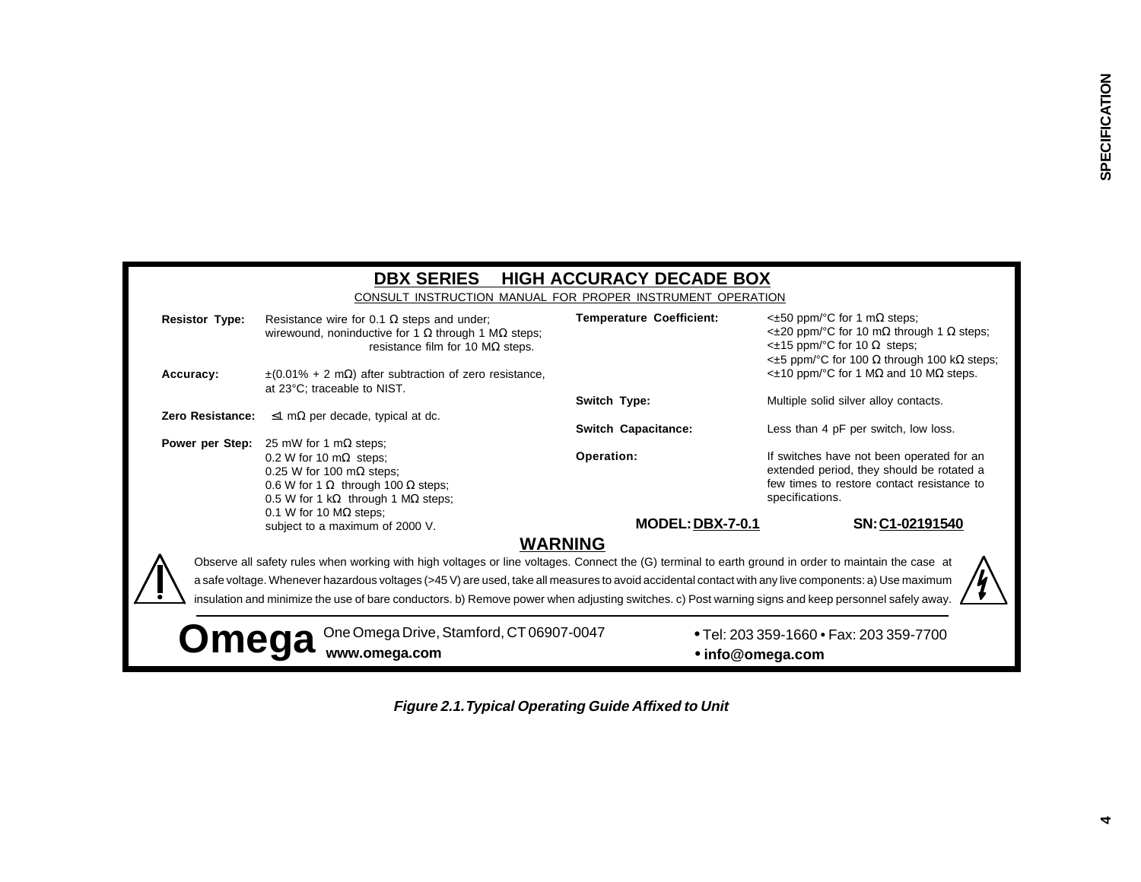|                       | <b>DBX SERIES</b><br>CONSULT INSTRUCTION MANUAL FOR PROPER INSTRUMENT OPERATION                                                                                                                                                                                                                                                                                                                                                                                                                                                 | <b>HIGH ACCURACY DECADE BOX</b>                     |                                                                                                                                                                                                 |
|-----------------------|---------------------------------------------------------------------------------------------------------------------------------------------------------------------------------------------------------------------------------------------------------------------------------------------------------------------------------------------------------------------------------------------------------------------------------------------------------------------------------------------------------------------------------|-----------------------------------------------------|-------------------------------------------------------------------------------------------------------------------------------------------------------------------------------------------------|
| <b>Resistor Type:</b> | Resistance wire for 0.1 $\Omega$ steps and under;<br>wirewound, noninductive for 1 $\Omega$ through 1 M $\Omega$ steps;<br>resistance film for 10 $M\Omega$ steps.                                                                                                                                                                                                                                                                                                                                                              | <b>Temperature Coefficient:</b>                     | $\leq$ ±50 ppm/°C for 1 m $\Omega$ steps;<br>$\lt$ ±20 ppm/°C for 10 mΩ through 1 Ω steps;<br><±15 ppm/°C for 10 Ω steps;                                                                       |
| Accuracy:             | $\pm (0.01\% + 2 \text{ m}\Omega)$ after subtraction of zero resistance,<br>at 23°C; traceable to NIST.                                                                                                                                                                                                                                                                                                                                                                                                                         |                                                     | $\leq$ ±5 ppm/°C for 100 Ω through 100 kΩ steps;<br>$\leq$ ±10 ppm/°C for 1 MΩ and 10 MΩ steps.                                                                                                 |
| Zero Resistance:      | $\leq$ 1 m $\Omega$ per decade, typical at dc.                                                                                                                                                                                                                                                                                                                                                                                                                                                                                  | Switch Type:                                        | Multiple solid silver alloy contacts.                                                                                                                                                           |
|                       | <b>Power per Step:</b> 25 mW for 1 m $\Omega$ steps;<br>0.2 W for 10 m $\Omega$ steps;<br>0.25 W for 100 m $\Omega$ steps;<br>0.6 W for 1 $\Omega$ through 100 $\Omega$ steps;<br>0.5 W for 1 k $\Omega$ through 1 M $\Omega$ steps;                                                                                                                                                                                                                                                                                            | <b>Switch Capacitance:</b><br>Operation:            | Less than 4 pF per switch, low loss.<br>If switches have not been operated for an<br>extended period, they should be rotated a<br>few times to restore contact resistance to<br>specifications. |
|                       | 0.1 W for 10 $M\Omega$ steps;<br>subject to a maximum of 2000 V.                                                                                                                                                                                                                                                                                                                                                                                                                                                                | <b>MODEL: DBX-7-0.1</b>                             | SN: C1-02191540                                                                                                                                                                                 |
| <b>Omega</b>          | Observe all safety rules when working with high voltages or line voltages. Connect the (G) terminal to earth ground in order to maintain the case at<br>a safe voltage. Whenever hazardous voltages (>45 V) are used, take all measures to avoid accidental contact with any live components: a) Use maximum<br>insulation and minimize the use of bare conductors. b) Remove power when adjusting switches. c) Post warning signs and keep personnel safely away.<br>One Omega Drive, Stamford, CT 06907-0047<br>www.omega.com | <b>WARNING</b><br>• info@omega.com                  | • Tel: 203 359-1660 • Fax: 203 359-7700                                                                                                                                                         |
|                       |                                                                                                                                                                                                                                                                                                                                                                                                                                                                                                                                 | Figure 2.1. Typical Operating Guide Affixed to Unit |                                                                                                                                                                                                 |

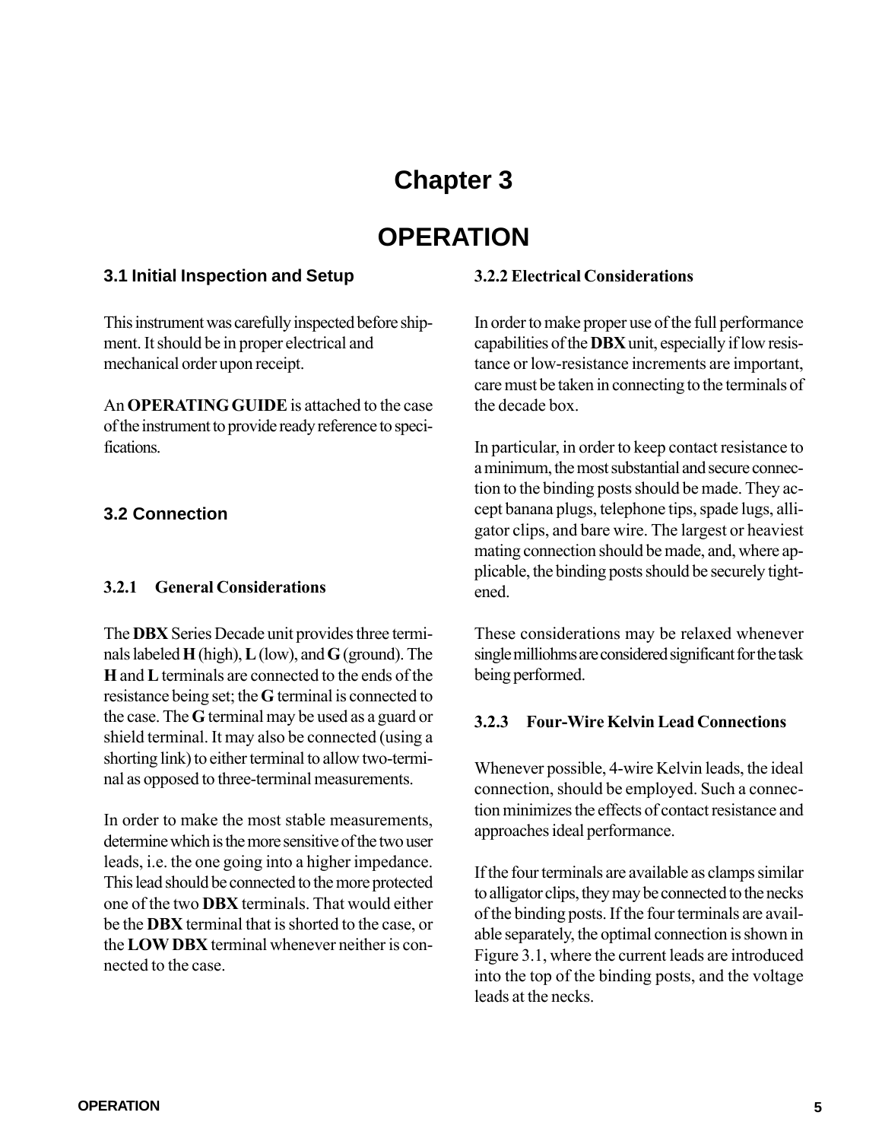### **Chapter 3**

### **OPERATION**

### **3.1 Initial Inspection and Setup**

This instrument was carefully inspected before shipment. It should be in proper electrical and mechanical order upon receipt.

An **OPERATING GUIDE** is attached to the case of the instrument to provide ready reference to specifications.

### **3.2 Connection**

### **3.2.1 General Considerations**

The **DBX** Series Decade unit provides three terminals labeled **H** (high), **L** (low), and **G** (ground). The **H** and **L** terminals are connected to the ends of the resistance being set; the **G** terminal is connected to the case. The **G** terminal may be used as a guard or shield terminal. It may also be connected (using a shorting link) to either terminal to allow two-terminal as opposed to three-terminal measurements.

In order to make the most stable measurements, determine which is the more sensitive of the two user leads, i.e. the one going into a higher impedance. This lead should be connected to the more protected one of the two **DBX** terminals. That would either be the **DBX** terminal that is shorted to the case, or the **LOW DBX** terminal whenever neither is connected to the case.

### **3.2.2 Electrical Considerations**

In order to make proper use of the full performance capabilities of the **DBX** unit, especially if low resistance or low-resistance increments are important, care must be taken in connecting to the terminals of the decade box.

In particular, in order to keep contact resistance to a minimum, the most substantial and secure connection to the binding posts should be made. They accept banana plugs, telephone tips, spade lugs, alligator clips, and bare wire. The largest or heaviest mating connection should be made, and, where applicable, the binding posts should be securely tightened.

These considerations may be relaxed whenever single milliohms are considered significant for the task being performed.

### **3.2.3 Four-Wire Kelvin Lead Connections**

Whenever possible, 4-wire Kelvin leads, the ideal connection, should be employed. Such a connection minimizes the effects of contact resistance and approaches ideal performance.

If the four terminals are available as clamps similar to alligator clips, they may be connected to the necks of the binding posts. If the four terminals are available separately, the optimal connection is shown in Figure 3.1, where the current leads are introduced into the top of the binding posts, and the voltage leads at the necks.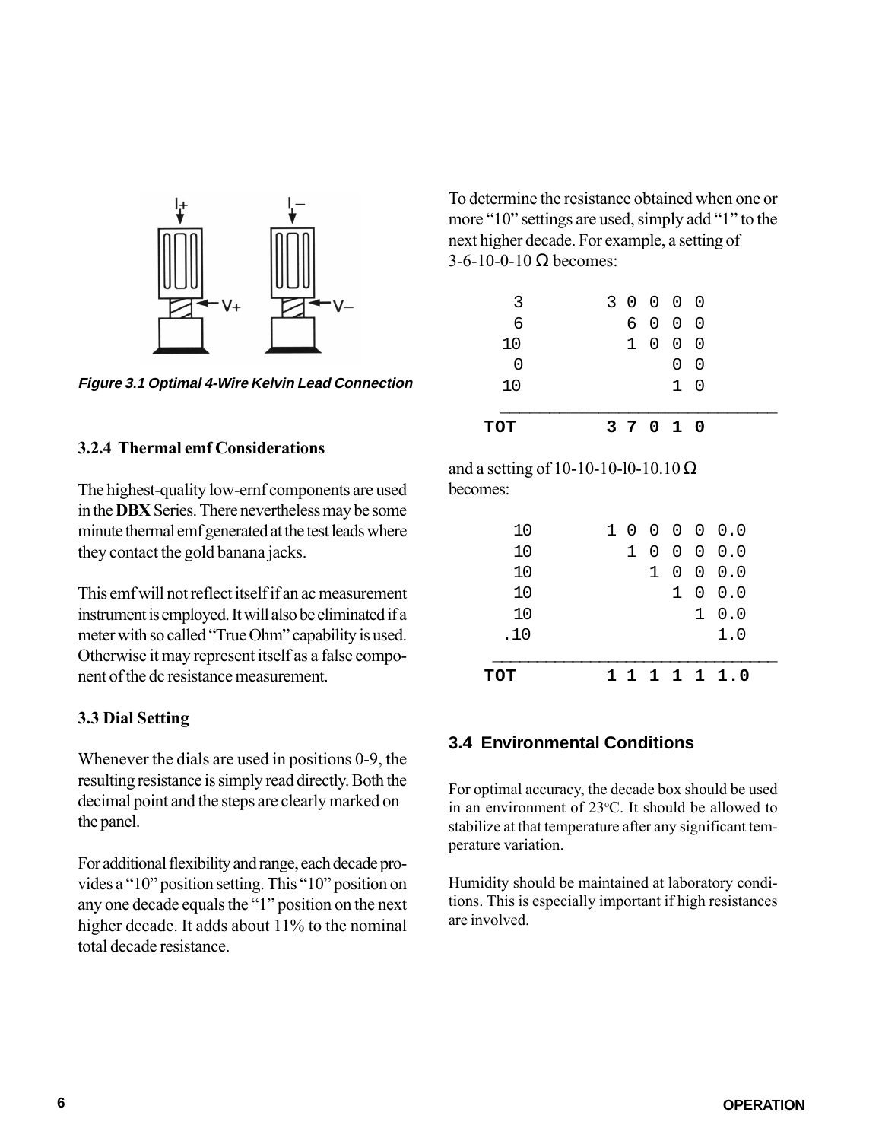

**Figure 3.1 Optimal 4-Wire Kelvin Lead Connection**

### **3.2.4 Thermal emf Considerations**

The highest-quality low-ernf components are used in the **DBX** Series. There nevertheless may be some minute thermal emf generated at the test leads where they contact the gold banana jacks.

This emf will not reflect itself if an ac measurement instrument is employed. It will also be eliminated if a meter with so called "True Ohm" capability is used. Otherwise it may represent itself as a false component of the dc resistance measurement.

### **3.3 Dial Setting**

Whenever the dials are used in positions 0-9, the resulting resistance is simply read directly. Both the decimal point and the steps are clearly marked on the panel.

For additional flexibility and range, each decade provides a "10" position setting. This "10" position on any one decade equals the "1" position on the next higher decade. It adds about 11% to the nominal total decade resistance.

To determine the resistance obtained when one or more "10" settings are used, simply add "1" to the next higher decade. For example, a setting of 3-6-10-0-10  $\Omega$  becomes:

| TOT      |  | 3 7 0 1 0 |            |                |  |  |
|----------|--|-----------|------------|----------------|--|--|
| 10       |  |           | $1\quad 0$ |                |  |  |
| $\Omega$ |  |           | 0          | $\overline{0}$ |  |  |
| 10       |  | 1 0 0 0   |            |                |  |  |
| 6        |  | 6 0 0 0   |            |                |  |  |
| 3        |  | 3 0 0 0 0 |            |                |  |  |

and a setting of 10-10-10-10-10.10  $\Omega$ becomes:

| TOT |   |     |  | 1 1 1 1 1 1 1 0                             |
|-----|---|-----|--|---------------------------------------------|
|     |   |     |  |                                             |
| .10 |   |     |  | 1.0                                         |
| 10  |   |     |  | $1 \ 0.0$                                   |
| 10  |   |     |  | $1 \t0 \t0.0$                               |
| 10  |   | 1.  |  | $0 \t0 \t0.0$                               |
| 10  | 1 | - 0 |  | $\begin{matrix} 0 & 0 & 0 & 0 \end{matrix}$ |
| 10  |   |     |  | 1 0 0 0 0 0.0                               |
|     |   |     |  |                                             |

### **3.4 Environmental Conditions**

For optimal accuracy, the decade box should be used in an environment of  $23^{\circ}$ C. It should be allowed to stabilize at that temperature after any significant temperature variation.

Humidity should be maintained at laboratory conditions. This is especially important if high resistances are involved.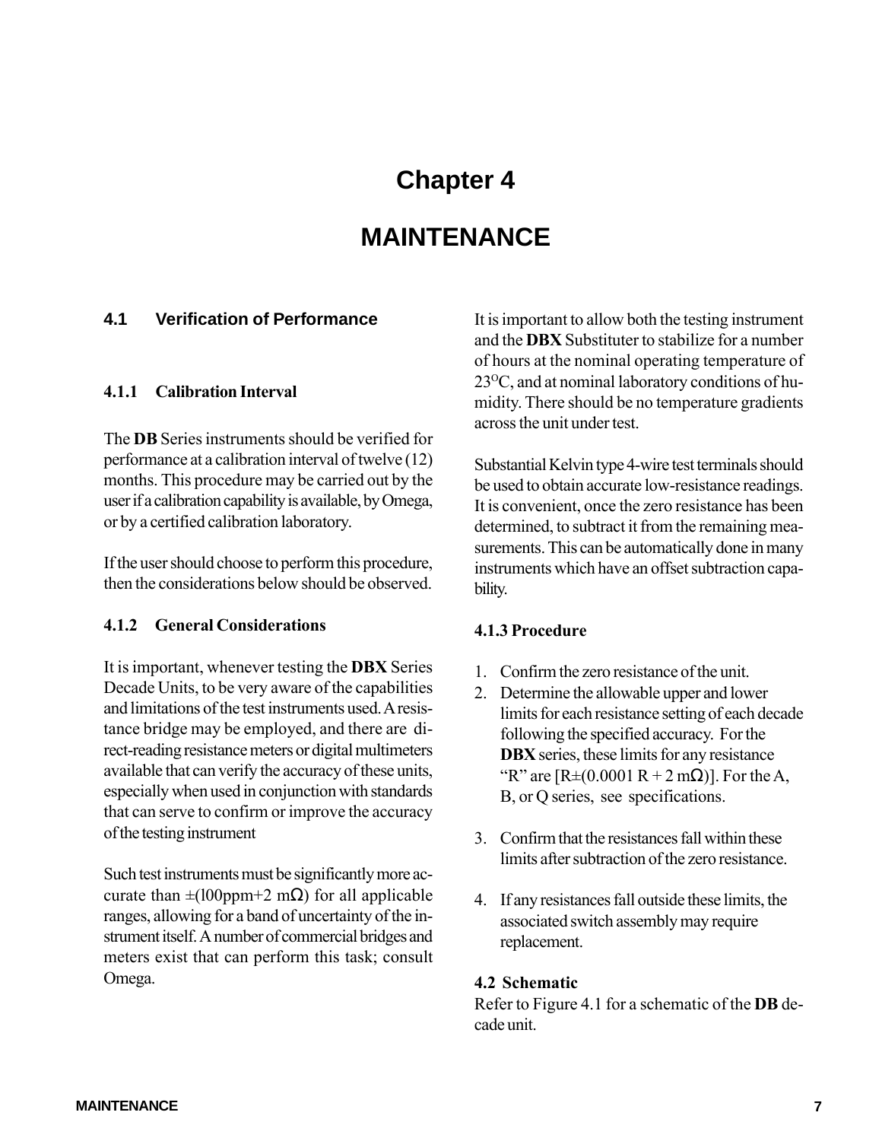### **Chapter 4**

### **MAINTENANCE**

### <span id="page-9-0"></span>**4.1 Verification of Performance**

### **4.1.1 Calibration Interval**

The **DB** Series instruments should be verified for performance at a calibration interval of twelve (12) months. This procedure may be carried out by the user if a calibration capability is available, by Omega, or by a certified calibration laboratory.

If the user should choose to perform this procedure, then the considerations below should be observed.

### **4.1.2 General Considerations**

It is important, whenever testing the **DBX** Series Decade Units, to be very aware of the capabilities and limitations of the test instruments used. A resistance bridge may be employed, and there are direct-reading resistance meters or digital multimeters available that can verify the accuracy of these units, especially when used in conjunction with standards that can serve to confirm or improve the accuracy of the testing instrument

Such test instruments must be significantly more accurate than  $\pm (100$ ppm+2 mΩ) for all applicable ranges, allowing for a band of uncertainty of the instrument itself. A number of commercial bridges and meters exist that can perform this task; consult Omega.

It is important to allow both the testing instrument and the **DBX** Substituter to stabilize for a number of hours at the nominal operating temperature of  $23^{\circ}$ C, and at nominal laboratory conditions of humidity. There should be no temperature gradients across the unit under test.

Substantial Kelvin type 4-wire test terminals should be used to obtain accurate low-resistance readings. It is convenient, once the zero resistance has been determined, to subtract it from the remaining measurements. This can be automatically done in many instruments which have an offset subtraction capability.

### **4.1.3 Procedure**

- 1. Confirm the zero resistance of the unit.
- 2. Determine the allowable upper and lower limits for each resistance setting of each decade following the specified accuracy. For the **DBX** series, these limits for any resistance "R" are  $[R \pm (0.0001 R + 2 m\Omega)]$ . For the A, B, or Q series, see specifications.
- 3. Confirm that the resistances fall within these limits after subtraction of the zero resistance.
- 4. If any resistances fall outside these limits, the associated switch assembly may require replacement.

### **4.2 Schematic**

Refer to Figure 4.1 for a schematic of the **DB** decade unit.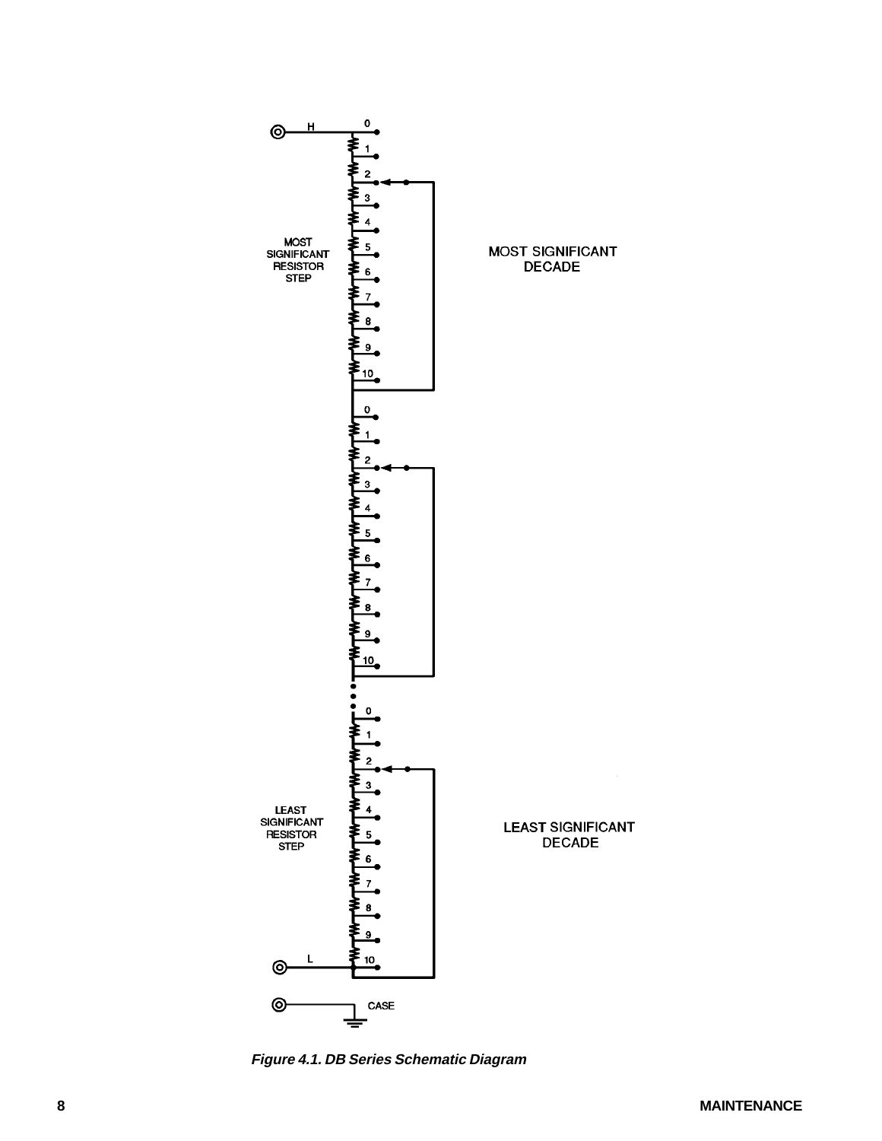

**Figure 4.1. DB Series Schematic Diagram**